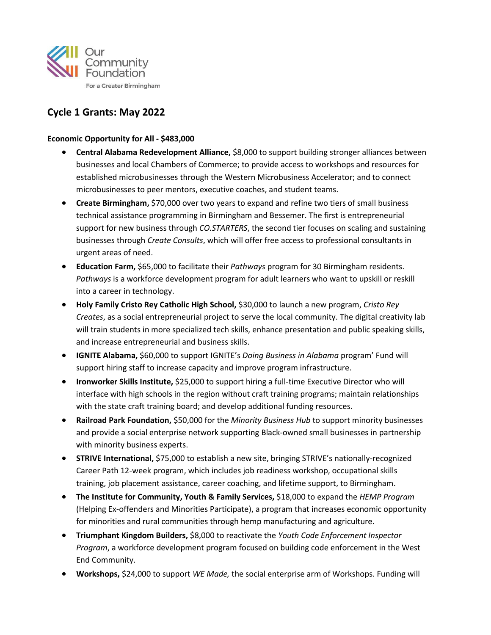

# **Cycle 1 Grants: May 2022**

## **Economic Opportunity for All - \$483,000**

- **Central Alabama Redevelopment Alliance,** \$8,000 to support building stronger alliances between businesses and local Chambers of Commerce; to provide access to workshops and resources for established microbusinesses through the Western Microbusiness Accelerator; and to connect microbusinesses to peer mentors, executive coaches, and student teams.
- **Create Birmingham, \$70,000 over two years to expand and refine two tiers of small business** technical assistance programming in Birmingham and Bessemer. The first is entrepreneurial support for new business through *CO.STARTERS*, the second tier focuses on scaling and sustaining businesses through *Create Consults*, which will offer free access to professional consultants in urgent areas of need.
- **Education Farm,** \$65,000 to facilitate their *Pathways* program for 30 Birmingham residents. *Pathways* is a workforce development program for adult learners who want to upskill or reskill into a career in technology.
- **Holy Family Cristo Rey Catholic High School,** \$30,000 to launch a new program, *Cristo Rey Creates*, as a social entrepreneurial project to serve the local community. The digital creativity lab will train students in more specialized tech skills, enhance presentation and public speaking skills, and increase entrepreneurial and business skills.
- **IGNITE Alabama,** \$60,000 to support IGNITE's *Doing Business in Alabama* program' Fund will support hiring staff to increase capacity and improve program infrastructure.
- **Ironworker Skills Institute, \$25,000 to support hiring a full-time Executive Director who will** interface with high schools in the region without craft training programs; maintain relationships with the state craft training board; and develop additional funding resources.
- **Railroad Park Foundation,** \$50,000 for the *Minority Business Hub* to support minority businesses and provide a social enterprise network supporting Black-owned small businesses in partnership with minority business experts.
- **STRIVE International,** \$75,000 to establish a new site, bringing STRIVE's nationally-recognized Career Path 12-week program, which includes job readiness workshop, occupational skills training, job placement assistance, career coaching, and lifetime support, to Birmingham.
- **The Institute for Community, Youth & Family Services,** \$18,000 to expand the *HEMP Program* (Helping Ex-offenders and Minorities Participate), a program that increases economic opportunity for minorities and rural communities through hemp manufacturing and agriculture.
- **Triumphant Kingdom Builders,** \$8,000 to reactivate the *Youth Code Enforcement Inspector Program*, a workforce development program focused on building code enforcement in the West End Community.
- **Workshops,** \$24,000 to support *WE Made,* the social enterprise arm of Workshops. Funding will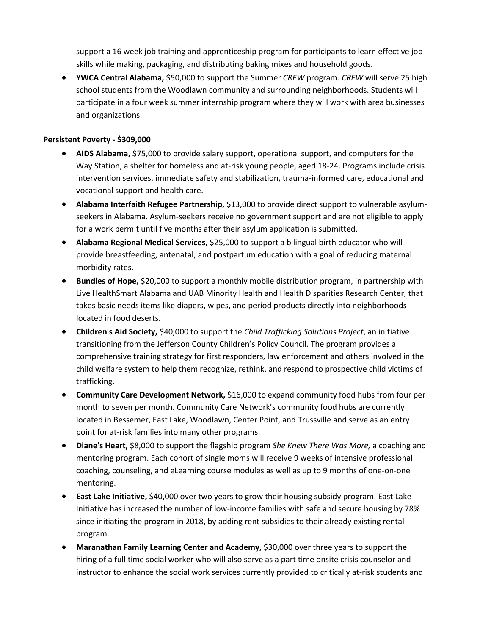support a 16 week job training and apprenticeship program for participants to learn effective job skills while making, packaging, and distributing baking mixes and household goods.

• **YWCA Central Alabama,** \$50,000 to support the Summer *CREW* program. *CREW* will serve 25 high school students from the Woodlawn community and surrounding neighborhoods. Students will participate in a four week summer internship program where they will work with area businesses and organizations.

### **Persistent Poverty - \$309,000**

- **AIDS Alabama,** \$75,000 to provide salary support, operational support, and computers for the Way Station, a shelter for homeless and at-risk young people, aged 18-24. Programs include crisis intervention services, immediate safety and stabilization, trauma-informed care, educational and vocational support and health care.
- **Alabama Interfaith Refugee Partnership,** \$13,000 to provide direct support to vulnerable asylumseekers in Alabama. Asylum-seekers receive no government support and are not eligible to apply for a work permit until five months after their asylum application is submitted.
- **Alabama Regional Medical Services,** \$25,000 to support a bilingual birth educator who will provide breastfeeding, antenatal, and postpartum education with a goal of reducing maternal morbidity rates.
- **Bundles of Hope,** \$20,000 to support a monthly mobile distribution program, in partnership with Live HealthSmart Alabama and UAB Minority Health and Health Disparities Research Center, that takes basic needs items like diapers, wipes, and period products directly into neighborhoods located in food deserts.
- **Children's Aid Society,** \$40,000 to support the *Child Trafficking Solutions Project*, an initiative transitioning from the Jefferson County Children's Policy Council. The program provides a comprehensive training strategy for first responders, law enforcement and others involved in the child welfare system to help them recognize, rethink, and respond to prospective child victims of trafficking.
- **Community Care Development Network,** \$16,000 to expand community food hubs from four per month to seven per month. Community Care Network's community food hubs are currently located in Bessemer, East Lake, Woodlawn, Center Point, and Trussville and serve as an entry point for at-risk families into many other programs.
- **Diane's Heart,** \$8,000 to support the flagship program *She Knew There Was More,* a coaching and mentoring program. Each cohort of single moms will receive 9 weeks of intensive professional coaching, counseling, and eLearning course modules as well as up to 9 months of one-on-one mentoring.
- **East Lake Initiative,** \$40,000 over two years to grow their housing subsidy program. East Lake Initiative has increased the number of low-income families with safe and secure housing by 78% since initiating the program in 2018, by adding rent subsidies to their already existing rental program.
- **Maranathan Family Learning Center and Academy,** \$30,000 over three years to support the hiring of a full time social worker who will also serve as a part time onsite crisis counselor and instructor to enhance the social work services currently provided to critically at-risk students and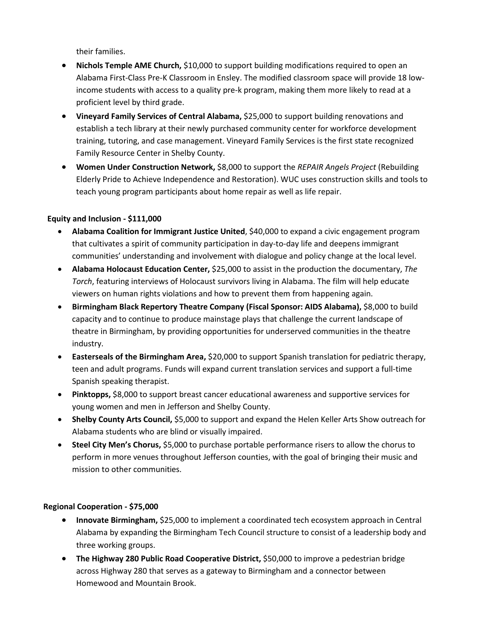their families.

- **Nichols Temple AME Church,** \$10,000 to support building modifications required to open an Alabama First-Class Pre-K Classroom in Ensley. The modified classroom space will provide 18 lowincome students with access to a quality pre-k program, making them more likely to read at a proficient level by third grade.
- **Vineyard Family Services of Central Alabama,** \$25,000 to support building renovations and establish a tech library at their newly purchased community center for workforce development training, tutoring, and case management. Vineyard Family Services is the first state recognized Family Resource Center in Shelby County.
- **Women Under Construction Network,** \$8,000 to support the *REPAIR Angels Project* (Rebuilding Elderly Pride to Achieve Independence and Restoration). WUC uses construction skills and tools to teach young program participants about home repair as well as life repair.

## **Equity and Inclusion - \$111,000**

- **Alabama Coalition for Immigrant Justice United**, \$40,000 to expand a civic engagement program that cultivates a spirit of community participation in day-to-day life and deepens immigrant communities' understanding and involvement with dialogue and policy change at the local level.
- **Alabama Holocaust Education Center,** \$25,000 to assist in the production the documentary, *The Torch*, featuring interviews of Holocaust survivors living in Alabama. The film will help educate viewers on human rights violations and how to prevent them from happening again.
- **Birmingham Black Repertory Theatre Company (Fiscal Sponsor: AIDS Alabama),** \$8,000 to build capacity and to continue to produce mainstage plays that challenge the current landscape of theatre in Birmingham, by providing opportunities for underserved communities in the theatre industry.
- **Easterseals of the Birmingham Area,** \$20,000 to support Spanish translation for pediatric therapy, teen and adult programs. Funds will expand current translation services and support a full-time Spanish speaking therapist.
- **Pinktopps,** \$8,000 to support breast cancer educational awareness and supportive services for young women and men in Jefferson and Shelby County.
- **Shelby County Arts Council,** \$5,000 to support and expand the Helen Keller Arts Show outreach for Alabama students who are blind or visually impaired.
- **Steel City Men's Chorus,** \$5,000 to purchase portable performance risers to allow the chorus to perform in more venues throughout Jefferson counties, with the goal of bringing their music and mission to other communities.

#### **Regional Cooperation - \$75,000**

- **Innovate Birmingham, \$25,000 to implement a coordinated tech ecosystem approach in Central** Alabama by expanding the Birmingham Tech Council structure to consist of a leadership body and three working groups.
- **The Highway 280 Public Road Cooperative District,** \$50,000 to improve a pedestrian bridge across Highway 280 that serves as a gateway to Birmingham and a connector between Homewood and Mountain Brook.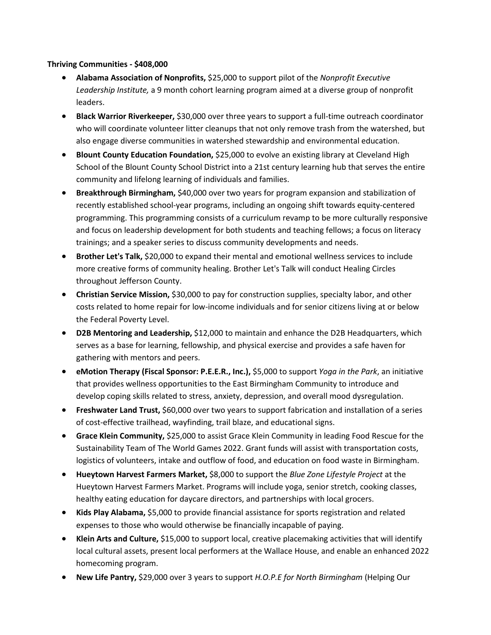#### **Thriving Communities - \$408,000**

- **Alabama Association of Nonprofits,** \$25,000 to support pilot of the *Nonprofit Executive Leadership Institute,* a 9 month cohort learning program aimed at a diverse group of nonprofit leaders.
- **Black Warrior Riverkeeper,** \$30,000 over three years to support a full-time outreach coordinator who will coordinate volunteer litter cleanups that not only remove trash from the watershed, but also engage diverse communities in watershed stewardship and environmental education.
- **Blount County Education Foundation,** \$25,000 to evolve an existing library at Cleveland High School of the Blount County School District into a 21st century learning hub that serves the entire community and lifelong learning of individuals and families.
- **Breakthrough Birmingham,** \$40,000 over two years for program expansion and stabilization of recently established school-year programs, including an ongoing shift towards equity-centered programming. This programming consists of a curriculum revamp to be more culturally responsive and focus on leadership development for both students and teaching fellows; a focus on literacy trainings; and a speaker series to discuss community developments and needs.
- **Brother Let's Talk, \$20,000 to expand their mental and emotional wellness services to include** more creative forms of community healing. Brother Let's Talk will conduct Healing Circles throughout Jefferson County.
- **Christian Service Mission,** \$30,000 to pay for construction supplies, specialty labor, and other costs related to home repair for low-income individuals and for senior citizens living at or below the Federal Poverty Level.
- **D2B Mentoring and Leadership,** \$12,000 to maintain and enhance the D2B Headquarters, which serves as a base for learning, fellowship, and physical exercise and provides a safe haven for gathering with mentors and peers.
- **eMotion Therapy (Fiscal Sponsor: P.E.E.R., Inc.),** \$5,000 to support *Yoga in the Park*, an initiative that provides wellness opportunities to the East Birmingham Community to introduce and develop coping skills related to stress, anxiety, depression, and overall mood dysregulation.
- **Freshwater Land Trust,** \$60,000 over two years to support fabrication and installation of a series of cost-effective trailhead, wayfinding, trail blaze, and educational signs.
- **Grace Klein Community,** \$25,000 to assist Grace Klein Community in leading Food Rescue for the Sustainability Team of The World Games 2022. Grant funds will assist with transportation costs, logistics of volunteers, intake and outflow of food, and education on food waste in Birmingham.
- **Hueytown Harvest Farmers Market,** \$8,000 to support the *Blue Zone Lifestyle Project* at the Hueytown Harvest Farmers Market. Programs will include yoga, senior stretch, cooking classes, healthy eating education for daycare directors, and partnerships with local grocers.
- **Kids Play Alabama,** \$5,000 to provide financial assistance for sports registration and related expenses to those who would otherwise be financially incapable of paying.
- **Klein Arts and Culture,** \$15,000 to support local, creative placemaking activities that will identify local cultural assets, present local performers at the Wallace House, and enable an enhanced 2022 homecoming program.
- **New Life Pantry,** \$29,000 over 3 years to support *H.O.P.E for North Birmingham* (Helping Our